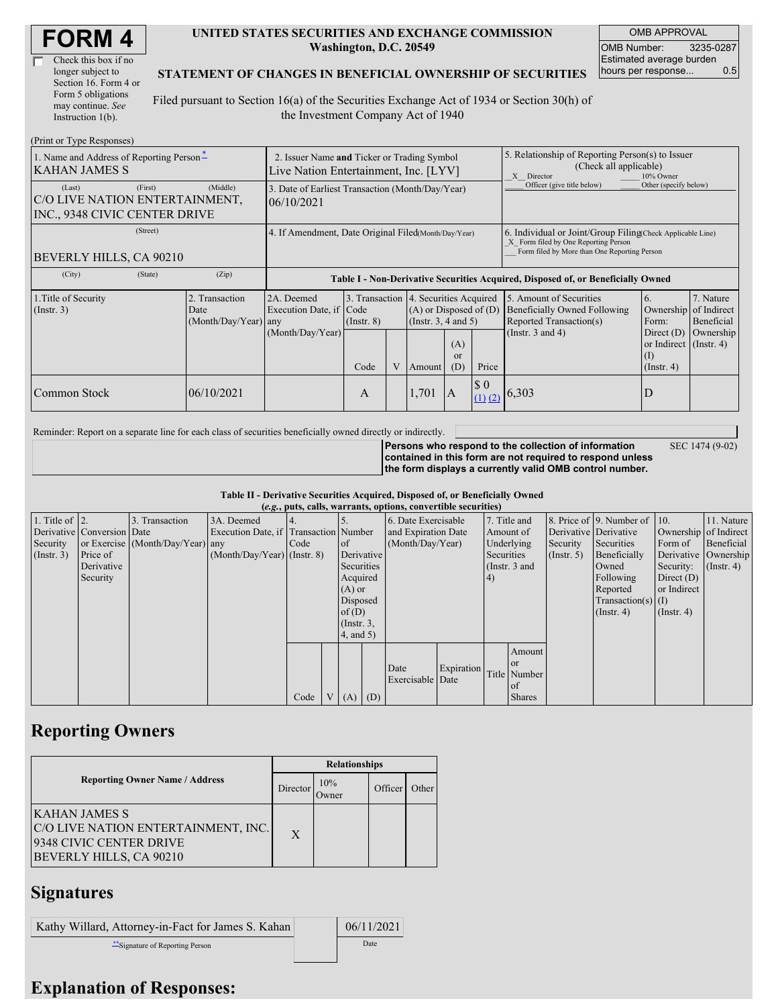| <b>FORM4</b> |
|--------------|
|--------------|

| Check this box if no  |
|-----------------------|
| longer subject to     |
| Section 16. Form 4 or |
| Form 5 obligations    |
| may continue. See     |
| Instruction 1(b).     |

#### **UNITED STATES SECURITIES AND EXCHANGE COMMISSION Washington, D.C. 20549**

OMB APPROVAL OMB Number: 3235-0287 Estimated average burden hours per response... 0.5

SEC 1474 (9-02)

#### **STATEMENT OF CHANGES IN BENEFICIAL OWNERSHIP OF SECURITIES**

Filed pursuant to Section 16(a) of the Securities Exchange Act of 1934 or Section 30(h) of the Investment Company Act of 1940

| (Print or Type Responses)                                                            |                                                                                      |                                                                                  |                                                                  |   |                                                                  |                             |                                                                                                                                                    |                                                                                                        |                                                                                                           |                                      |
|--------------------------------------------------------------------------------------|--------------------------------------------------------------------------------------|----------------------------------------------------------------------------------|------------------------------------------------------------------|---|------------------------------------------------------------------|-----------------------------|----------------------------------------------------------------------------------------------------------------------------------------------------|--------------------------------------------------------------------------------------------------------|-----------------------------------------------------------------------------------------------------------|--------------------------------------|
| 1. Name and Address of Reporting Person-<br><b>KAHAN JAMES S</b>                     | 2. Issuer Name and Ticker or Trading Symbol<br>Live Nation Entertainment, Inc. [LYV] |                                                                                  |                                                                  |   |                                                                  |                             | 5. Relationship of Reporting Person(s) to Issuer<br>(Check all applicable)<br>10% Owner<br>X Director                                              |                                                                                                        |                                                                                                           |                                      |
| (First)<br>(Last)<br>C/O LIVE NATION ENTERTAINMENT,<br>INC., 9348 CIVIC CENTER DRIVE | (Middle)                                                                             | 3. Date of Earliest Transaction (Month/Day/Year)<br>06/10/2021                   |                                                                  |   |                                                                  |                             | Officer (give title below)                                                                                                                         | Other (specify below)                                                                                  |                                                                                                           |                                      |
| (Street)<br>BEVERLY HILLS, CA 90210                                                  | 4. If Amendment, Date Original Filed(Month/Day/Year)                                 |                                                                                  |                                                                  |   |                                                                  |                             | 6. Individual or Joint/Group Filing Check Applicable Line)<br>X Form filed by One Reporting Person<br>Form filed by More than One Reporting Person |                                                                                                        |                                                                                                           |                                      |
| (City)<br>(State)                                                                    | (Zip)                                                                                | Table I - Non-Derivative Securities Acquired, Disposed of, or Beneficially Owned |                                                                  |   |                                                                  |                             |                                                                                                                                                    |                                                                                                        |                                                                                                           |                                      |
| 1. Title of Security<br>(Insert. 3)                                                  | 2. Transaction<br>Date<br>(Month/Day/Year) any                                       | 2A. Deemed<br>Execution Date, if Code<br>(Month/Day/Year)                        | 3. Transaction 4. Securities Acquired<br>$($ Instr. $8)$<br>Code | V | $(A)$ or Disposed of $(D)$<br>(Instr. $3, 4$ and $5$ )<br>Amount | (A)<br><sub>or</sub><br>(D) | Price                                                                                                                                              | 5. Amount of Securities<br>Beneficially Owned Following<br>Reported Transaction(s)<br>(Instr. 3 and 4) | 6.<br>Ownership of Indirect<br>Form:<br>Direct $(D)$<br>or Indirect (Instr. 4)<br>(I)<br>$($ Instr. 4 $)$ | 7. Nature<br>Beneficial<br>Ownership |
| Common Stock                                                                         | 06/10/2021                                                                           |                                                                                  | A                                                                |   | 1,701                                                            | 1A                          | $\boldsymbol{\$}\ 0$                                                                                                                               | $(1)$ (2) 6,303                                                                                        | D                                                                                                         |                                      |

Reminder: Report on a separate line for each class of securities beneficially owned directly or indirectly.

**Persons who respond to the collection of information contained in this form are not required to respond unless the form displays a currently valid OMB control number.**

**Table II - Derivative Securities Acquired, Disposed of, or Beneficially Owned**

|                        |                            |                                  |                                       |      |                |                 |            | (e.g., puts, calls, warrants, options, convertible securities) |            |            |               |                       |                              |                       |               |
|------------------------|----------------------------|----------------------------------|---------------------------------------|------|----------------|-----------------|------------|----------------------------------------------------------------|------------|------------|---------------|-----------------------|------------------------------|-----------------------|---------------|
| 1. Title of $\vert$ 2. |                            | 3. Transaction                   | 3A. Deemed                            |      |                |                 |            | 6. Date Exercisable                                            |            |            | 7. Title and  |                       | 8. Price of 9. Number of 10. |                       | 11. Nature    |
|                        | Derivative Conversion Date |                                  | Execution Date, if Transaction Number |      |                |                 |            | and Expiration Date                                            |            | Amount of  |               | Derivative Derivative |                              | Ownership of Indirect |               |
| Security               |                            | or Exercise (Month/Day/Year) any |                                       | Code |                | <sub>of</sub>   |            | (Month/Day/Year)                                               |            | Underlying |               | Security              | Securities                   | Form of               | Beneficial    |
| (Insert. 3)            | Price of                   |                                  | $(Month/Day/Year)$ (Instr. 8)         |      |                |                 | Derivative |                                                                | Securities |            | $($ Instr. 5) | Beneficially          | Derivative Ownership         |                       |               |
|                        | Derivative                 |                                  |                                       |      |                | Securities      |            |                                                                |            |            | (Instr. 3 and |                       | Owned                        | Security:             | $($ Instr. 4) |
|                        | Security                   |                                  |                                       |      |                | Acquired        |            |                                                                |            | (4)        |               |                       | Following                    | Direct $(D)$          |               |
|                        |                            |                                  |                                       |      |                | $(A)$ or        |            |                                                                |            |            |               |                       | Reported                     | or Indirect           |               |
|                        |                            |                                  |                                       |      |                | Disposed        |            |                                                                |            |            |               |                       | $Transaction(s)$ (I)         |                       |               |
|                        |                            |                                  |                                       |      |                | of(D)           |            |                                                                |            |            |               |                       | $($ Instr. 4 $)$             | $($ Instr. 4 $)$      |               |
|                        |                            |                                  |                                       |      |                | $($ Instr. $3,$ |            |                                                                |            |            |               |                       |                              |                       |               |
|                        |                            |                                  |                                       |      |                | 4, and 5)       |            |                                                                |            |            |               |                       |                              |                       |               |
|                        |                            |                                  |                                       |      |                |                 |            |                                                                |            |            | Amount        |                       |                              |                       |               |
|                        |                            |                                  |                                       |      |                |                 |            | Date                                                           | Expiration |            | <sub>or</sub> |                       |                              |                       |               |
|                        |                            |                                  |                                       |      |                |                 |            | Exercisable Date                                               |            |            | Title Number  |                       |                              |                       |               |
|                        |                            |                                  |                                       |      |                |                 |            |                                                                |            |            | of            |                       |                              |                       |               |
|                        |                            |                                  |                                       | Code | V <sub>1</sub> | $(A)$ $(D)$     |            |                                                                |            |            | <b>Shares</b> |                       |                              |                       |               |

### **Reporting Owners**

|                                                                                                                   | <b>Relationships</b> |              |         |       |  |  |  |
|-------------------------------------------------------------------------------------------------------------------|----------------------|--------------|---------|-------|--|--|--|
| <b>Reporting Owner Name / Address</b>                                                                             | Director             | 10%<br>Owner | Officer | Other |  |  |  |
| KAHAN JAMES S<br>C/O LIVE NATION ENTERTAINMENT, INC.<br>9348 CIVIC CENTER DRIVE<br><b>BEVERLY HILLS, CA 90210</b> | X                    |              |         |       |  |  |  |

# **Signatures**

| Kathy Willard, Attorney-in-Fact for James S. Kahan | 06/11/2021 |
|----------------------------------------------------|------------|
| Signature of Reporting Person                      | Date       |

## **Explanation of Responses:**